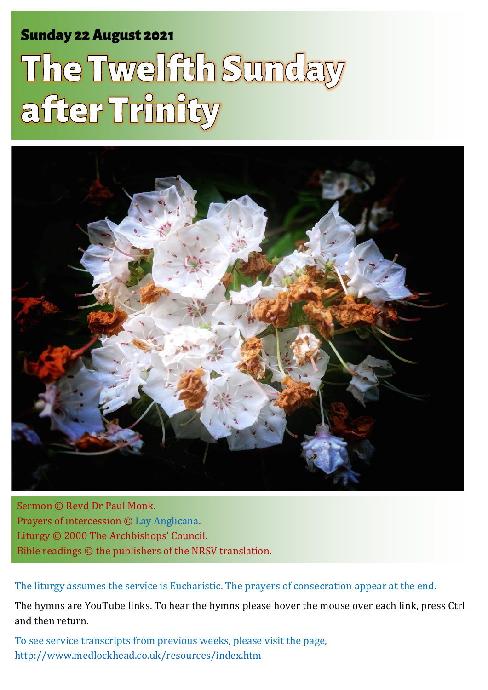Sunday 22 August 2021 1 The Twelfth Sunday after Trinity and Trinity and Trinity and Trinity and Trinity and T

# The Twelfth Sunday after Trinity



Sermon © Revd Dr Paul Monk. Prayers of intercession © [Lay Anglicana.](http://www.layanglicana.org/blog/2015/08/19/intercessions-for-trinity-12-year-b-proper-16-23-august-2015/) Liturgy © 2000 The Archbishops' Council. Bible readings © the publishers of the NRSV translation.

The liturgy assumes the service is Eucharistic. The prayers of consecration appear at the end.

The hymns are YouTube links. To hear the hymns please hover the mouse over each link, press Ctrl and then return.

To see service transcripts from previous weeks, please visit the page, <http://www.medlockhead.co.uk/resources/index.htm>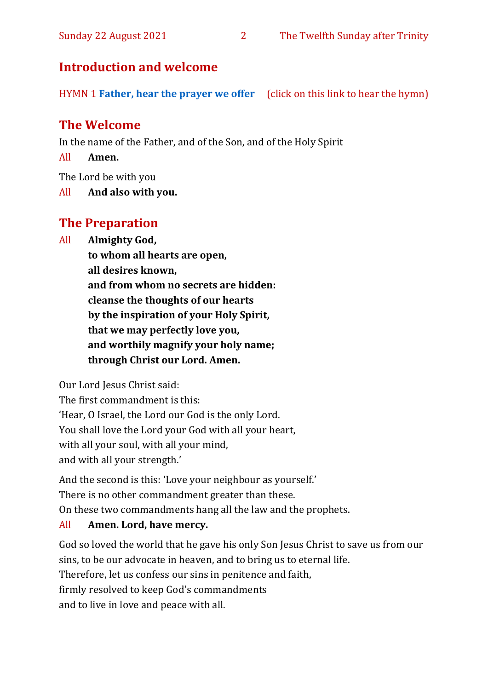# **Introduction and welcome**

HYMN 1 **[Father, hear the prayer we offer](https://www.youtube.com/watch?v=CFoactKMJHQ)** (click on this link to hear the hymn)

# **The Welcome**

In the name of the Father, and of the Son, and of the Holy Spirit

All **Amen.**

The Lord be with you

All **And also with you.**

# **The Preparation**

All **Almighty God,**

**to whom all hearts are open, all desires known, and from whom no secrets are hidden: cleanse the thoughts of our hearts by the inspiration of your Holy Spirit, that we may perfectly love you, and worthily magnify your holy name; through Christ our Lord. Amen.**

Our Lord Jesus Christ said:

The first commandment is this: 'Hear, O Israel, the Lord our God is the only Lord. You shall love the Lord your God with all your heart, with all your soul, with all your mind, and with all your strength.'

And the second is this: 'Love your neighbour as yourself.' There is no other commandment greater than these. On these two commandments hang all the law and the prophets.

#### All **Amen. Lord, have mercy.**

God so loved the world that he gave his only Son Jesus Christ to save us from our sins, to be our advocate in heaven, and to bring us to eternal life. Therefore, let us confess our sins in penitence and faith, firmly resolved to keep God's commandments and to live in love and peace with all.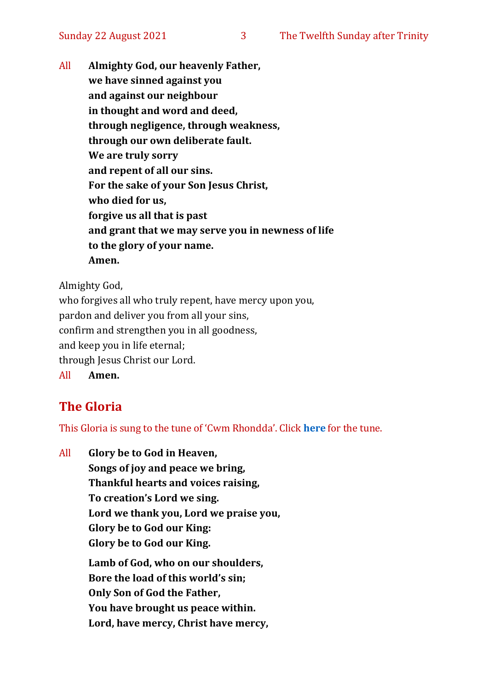All **Almighty God, our heavenly Father, we have sinned against you and against our neighbour in thought and word and deed, through negligence, through weakness, through our own deliberate fault. We are truly sorry and repent of all our sins. For the sake of your Son Jesus Christ, who died for us, forgive us all that is past and grant that we may serve you in newness of life to the glory of your name. Amen.**

Almighty God,

who forgives all who truly repent, have mercy upon you, pardon and deliver you from all your sins, confirm and strengthen you in all goodness, and keep you in life eternal; through Jesus Christ our Lord. All **Amen.**

# **The Gloria**

This Gloria is sung to the tune of 'Cwm Rhondda'. Click **[here](about:blank)** for the tune.

All **Glory be to God in Heaven, Songs of joy and peace we bring, Thankful hearts and voices raising, To creation's Lord we sing. Lord we thank you, Lord we praise you, Glory be to God our King: Glory be to God our King. Lamb of God, who on our shoulders, Bore the load of this world's sin; Only Son of God the Father, You have brought us peace within. Lord, have mercy, Christ have mercy,**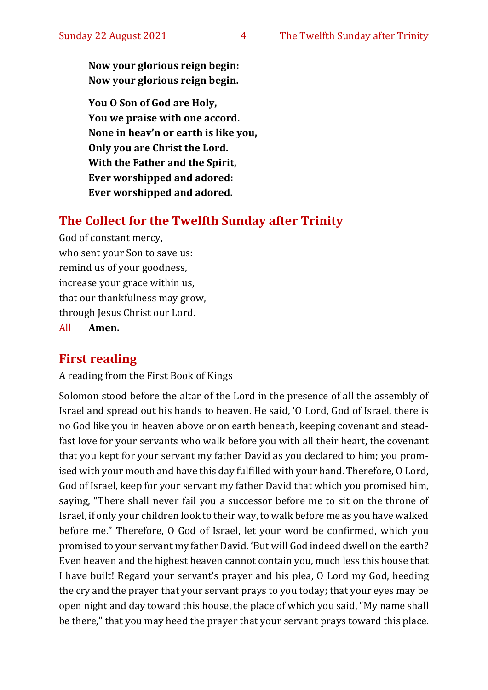**Now your glorious reign begin: Now your glorious reign begin.**

**You O Son of God are Holy, You we praise with one accord. None in heav'n or earth is like you, Only you are Christ the Lord. With the Father and the Spirit, Ever worshipped and adored: Ever worshipped and adored.**

#### **The Collect for the Twelfth Sunday after Trinity**

God of constant mercy, who sent your Son to save us: remind us of your goodness, increase your grace within us, that our thankfulness may grow, through Jesus Christ our Lord.

All **Amen.**

### **First reading**

A reading from the First Book of Kings

Solomon stood before the altar of the Lord in the presence of all the assembly of Israel and spread out his hands to heaven. He said, 'O Lord, God of Israel, there is no God like you in heaven above or on earth beneath, keeping covenant and steadfast love for your servants who walk before you with all their heart, the covenant that you kept for your servant my father David as you declared to him; you promised with your mouth and have this day fulfilled with your hand. Therefore, O Lord, God of Israel, keep for your servant my father David that which you promised him, saying, "There shall never fail you a successor before me to sit on the throne of Israel, if only your children look to their way, to walk before me as you have walked before me." Therefore, O God of Israel, let your word be confirmed, which you promised to your servant my father David. 'But will God indeed dwell on the earth? Even heaven and the highest heaven cannot contain you, much less this house that I have built! Regard your servant's prayer and his plea, O Lord my God, heeding the cry and the prayer that your servant prays to you today; that your eyes may be open night and day toward this house, the place of which you said, "My name shall be there," that you may heed the prayer that your servant prays toward this place.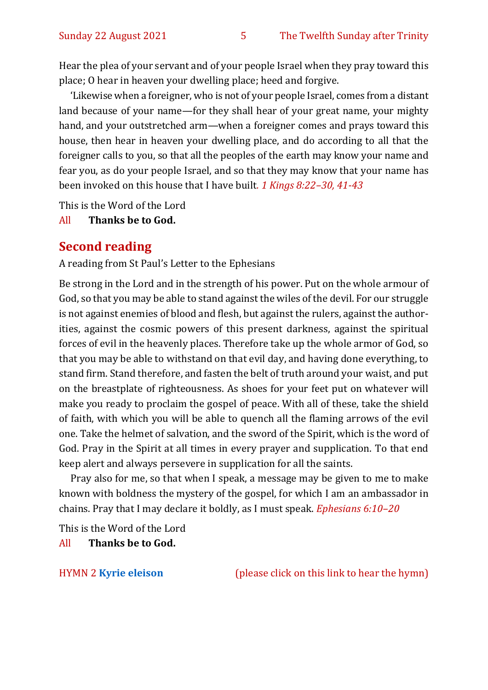Hear the plea of your servant and of your people Israel when they pray toward this place; O hear in heaven your dwelling place; heed and forgive.

'Likewise when a foreigner, who is not of your people Israel, comes from a distant land because of your name—for they shall hear of your great name, your mighty hand, and your outstretched arm—when a foreigner comes and prays toward this house, then hear in heaven your dwelling place, and do according to all that the foreigner calls to you, so that all the peoples of the earth may know your name and fear you, as do your people Israel, and so that they may know that your name has been invoked on this house that I have built*. 1 Kings 8:22–30, 41-43*

This is the Word of the Lord

All **Thanks be to God.**

#### **Second reading**

A reading from St Paul's Letter to the Ephesians

Be strong in the Lord and in the strength of his power. Put on the whole armour of God, so that you may be able to stand against the wiles of the devil. For our struggle is not against enemies of blood and flesh, but against the rulers, against the authorities, against the cosmic powers of this present darkness, against the spiritual forces of evil in the heavenly places. Therefore take up the whole armor of God, so that you may be able to withstand on that evil day, and having done everything, to stand firm. Stand therefore, and fasten the belt of truth around your waist, and put on the breastplate of righteousness. As shoes for your feet put on whatever will make you ready to proclaim the gospel of peace. With all of these, take the shield of faith, with which you will be able to quench all the flaming arrows of the evil one. Take the helmet of salvation, and the sword of the Spirit, which is the word of God. Pray in the Spirit at all times in every prayer and supplication. To that end keep alert and always persevere in supplication for all the saints.

Pray also for me, so that when I speak, a message may be given to me to make known with boldness the mystery of the gospel, for which I am an ambassador in chains. Pray that I may declare it boldly, as I must speak. *Ephesians 6:10–20*

This is the Word of the Lord

All **Thanks be to God.**

HYMN 2 **[Kyrie eleison](https://www.youtube.com/watch?v=eeG-2o0dvtk)** (please click on this link to hear the hymn)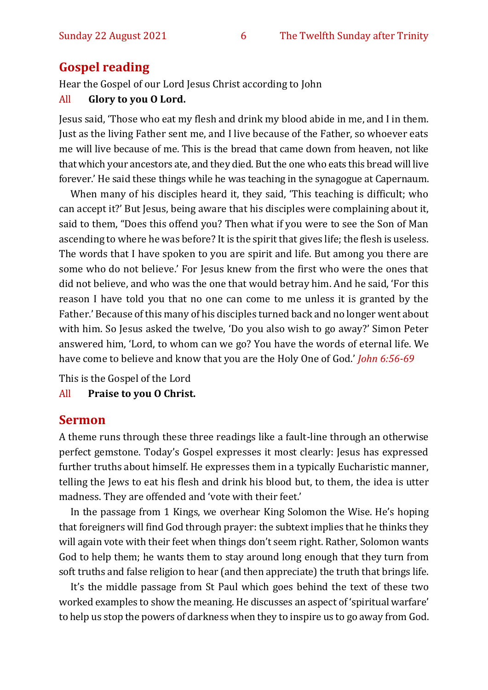### **Gospel reading**

Hear the Gospel of our Lord Jesus Christ according to John

#### All **Glory to you O Lord.**

Jesus said, 'Those who eat my flesh and drink my blood abide in me, and I in them. Just as the living Father sent me, and I live because of the Father, so whoever eats me will live because of me. This is the bread that came down from heaven, not like that which your ancestors ate, and they died. But the one who eats this bread will live forever.' He said these things while he was teaching in the synagogue at Capernaum.

When many of his disciples heard it, they said, 'This teaching is difficult; who can accept it?' But Jesus, being aware that his disciples were complaining about it, said to them, "Does this offend you? Then what if you were to see the Son of Man ascending to where he was before? It is the spirit that gives life; the flesh is useless. The words that I have spoken to you are spirit and life. But among you there are some who do not believe.' For Jesus knew from the first who were the ones that did not believe, and who was the one that would betray him. And he said, 'For this reason I have told you that no one can come to me unless it is granted by the Father.' Because of this many of his disciples turned back and no longer went about with him. So Jesus asked the twelve, 'Do you also wish to go away?' Simon Peter answered him, 'Lord, to whom can we go? You have the words of eternal life. We have come to believe and know that you are the Holy One of God.' *John 6:56-69*

This is the Gospel of the Lord

#### All **Praise to you O Christ.**

#### **Sermon**

A theme runs through these three readings like a fault-line through an otherwise perfect gemstone. Today's Gospel expresses it most clearly: Jesus has expressed further truths about himself. He expresses them in a typically Eucharistic manner, telling the Jews to eat his flesh and drink his blood but, to them, the idea is utter madness. They are offended and 'vote with their feet.'

In the passage from 1 Kings, we overhear King Solomon the Wise. He's hoping that foreigners will find God through prayer: the subtext implies that he thinks they will again vote with their feet when things don't seem right. Rather, Solomon wants God to help them; he wants them to stay around long enough that they turn from soft truths and false religion to hear (and then appreciate) the truth that brings life.

It's the middle passage from St Paul which goes behind the text of these two worked examples to show the meaning. He discusses an aspect of 'spiritual warfare' to help us stop the powers of darkness when they to inspire us to go away from God.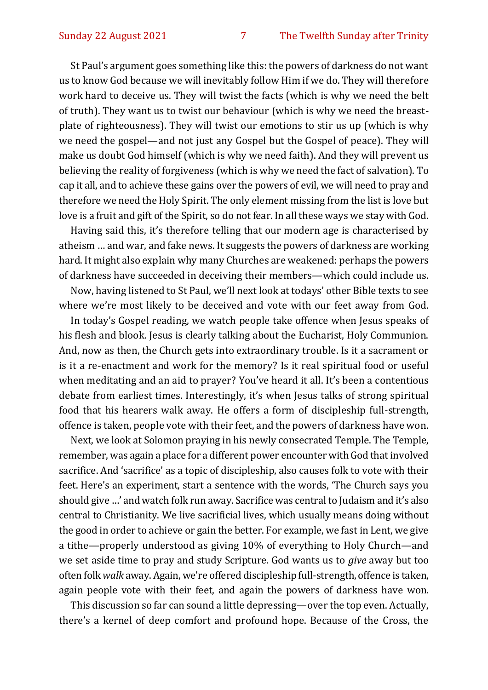St Paul's argument goes something like this: the powers of darkness do not want us to know God because we will inevitably follow Him if we do. They will therefore work hard to deceive us. They will twist the facts (which is why we need the belt of truth). They want us to twist our behaviour (which is why we need the breastplate of righteousness). They will twist our emotions to stir us up (which is why we need the gospel—and not just any Gospel but the Gospel of peace). They will make us doubt God himself (which is why we need faith). And they will prevent us believing the reality of forgiveness (which is why we need the fact of salvation). To cap it all, and to achieve these gains over the powers of evil, we will need to pray and therefore we need the Holy Spirit. The only element missing from the list is love but love is a fruit and gift of the Spirit, so do not fear. In all these ways we stay with God.

Having said this, it's therefore telling that our modern age is characterised by atheism … and war, and fake news. It suggests the powers of darkness are working hard. It might also explain why many Churches are weakened: perhaps the powers of darkness have succeeded in deceiving their members—which could include us.

Now, having listened to St Paul, we'll next look at todays' other Bible texts to see where we're most likely to be deceived and vote with our feet away from God.

In today's Gospel reading, we watch people take offence when Jesus speaks of his flesh and blook. Jesus is clearly talking about the Eucharist, Holy Communion. And, now as then, the Church gets into extraordinary trouble. Is it a sacrament or is it a re-enactment and work for the memory? Is it real spiritual food or useful when meditating and an aid to prayer? You've heard it all. It's been a contentious debate from earliest times. Interestingly, it's when Jesus talks of strong spiritual food that his hearers walk away. He offers a form of discipleship full-strength, offence is taken, people vote with their feet, and the powers of darkness have won.

Next, we look at Solomon praying in his newly consecrated Temple. The Temple, remember, was again a place for a different power encounter with God thatinvolved sacrifice. And 'sacrifice' as a topic of discipleship, also causes folk to vote with their feet. Here's an experiment, start a sentence with the words, 'The Church says you should give …' and watch folk run away. Sacrifice was central to Judaism and it's also central to Christianity. We live sacrificial lives, which usually means doing without the good in order to achieve or gain the better. For example, we fast in Lent, we give a tithe—properly understood as giving 10% of everything to Holy Church—and we set aside time to pray and study Scripture. God wants us to *give* away but too often folk *walk* away. Again, we're offered discipleship full-strength, offence is taken, again people vote with their feet, and again the powers of darkness have won.

This discussion so far can sound a little depressing—over the top even. Actually, there's a kernel of deep comfort and profound hope. Because of the Cross, the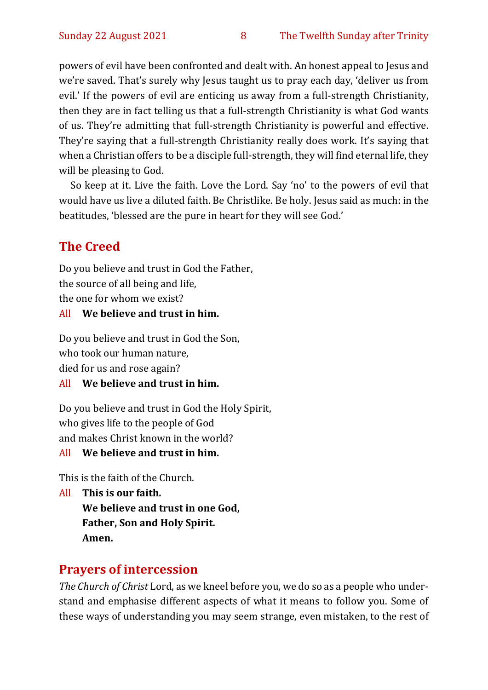powers of evil have been confronted and dealt with. An honest appeal to Jesus and we're saved. That's surely why Jesus taught us to pray each day, 'deliver us from evil.' If the powers of evil are enticing us away from a full-strength Christianity, then they are in fact telling us that a full-strength Christianity is what God wants of us. They're admitting that full-strength Christianity is powerful and effective. They're saying that a full-strength Christianity really does work. It's saying that when a Christian offers to be a disciple full-strength, they will find eternal life, they will be pleasing to God.

So keep at it. Live the faith. Love the Lord. Say 'no' to the powers of evil that would have us live a diluted faith. Be Christlike. Be holy. Jesus said as much: in the beatitudes, 'blessed are the pure in heart for they will see God.'

# **The Creed**

Do you believe and trust in God the Father, the source of all being and life, the one for whom we exist?

#### All **We believe and trust in him.**

Do you believe and trust in God the Son, who took our human nature, died for us and rose again?

#### All **We believe and trust in him.**

Do you believe and trust in God the Holy Spirit, who gives life to the people of God and makes Christ known in the world?

#### All **We believe and trust in him.**

This is the faith of the Church.

All **This is our faith. We believe and trust in one God, Father, Son and Holy Spirit. Amen.**

# **Prayers of intercession**

*The Church of Christ* Lord, as we kneel before you, we do so as a people who understand and emphasise different aspects of what it means to follow you. Some of these ways of understanding you may seem strange, even mistaken, to the rest of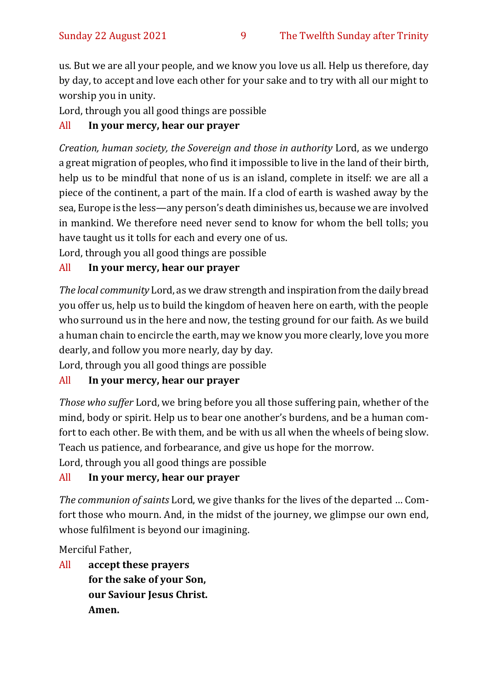us. But we are all your people, and we know you love us all. Help us therefore, day by day, to accept and love each other for your sake and to try with all our might to worship you in unity.

Lord, through you all good things are possible

# All **In your mercy, hear our prayer**

*Creation, human society, the Sovereign and those in authority* Lord, as we undergo a great migration of peoples, who find it impossible to live in the land of their birth, help us to be mindful that none of us is an island, complete in itself: we are all a piece of the continent, a part of the main. If a clod of earth is washed away by the sea, Europe is the less—any person's death diminishes us, because we are involved in mankind. We therefore need never send to know for whom the bell tolls; you have taught us it tolls for each and every one of us.

Lord, through you all good things are possible

# All **In your mercy, hear our prayer**

*The local community* Lord, as we draw strength and inspiration from the daily bread you offer us, help us to build the kingdom of heaven here on earth, with the people who surround us in the here and now, the testing ground for our faith. As we build a human chain to encircle the earth, may we know you more clearly, love you more dearly, and follow you more nearly, day by day.

Lord, through you all good things are possible

# All **In your mercy, hear our prayer**

*Those who suffer* Lord, we bring before you all those suffering pain, whether of the mind, body or spirit. Help us to bear one another's burdens, and be a human comfort to each other. Be with them, and be with us all when the wheels of being slow. Teach us patience, and forbearance, and give us hope for the morrow. Lord, through you all good things are possible

# All **In your mercy, hear our prayer**

*The communion of saints* Lord, we give thanks for the lives of the departed … Comfort those who mourn. And, in the midst of the journey, we glimpse our own end, whose fulfilment is beyond our imagining.

Merciful Father,

All **accept these prayers for the sake of your Son, our Saviour Jesus Christ. Amen.**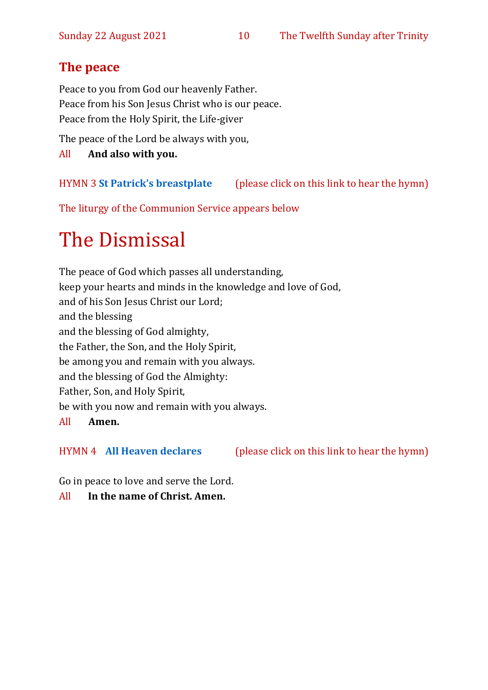# **The peace**

Peace to you from God our heavenly Father. Peace from his Son Jesus Christ who is our peace. Peace from the Holy Spirit, the Life-giver

The peace of the Lord be always with you,

All **And also with you.**

HYMN 3 **[St Patrick's breastplate](https://www.youtube.com/watch?v=m1OCffhjHYw&list=RDm1OCffhjHYw&start_radio=1)** (please click on this link to hear the hymn)

The liturgy of the Communion Service appears below

# The Dismissal

The peace of God which passes all understanding, keep your hearts and minds in the knowledge and love of God, and of his Son Jesus Christ our Lord; and the blessing and the blessing of God almighty, the Father, the Son, and the Holy Spirit, be among you and remain with you always. and the blessing of God the Almighty: Father, Son, and Holy Spirit, be with you now and remain with you always. All **Amen.**

HYMN 4 **[All Heaven declares](https://www.youtube.com/watch?v=S-s9Kk6tfVU)** (please click on this link to hear the hymn)

Go in peace to love and serve the Lord.

All **In the name of Christ. Amen.**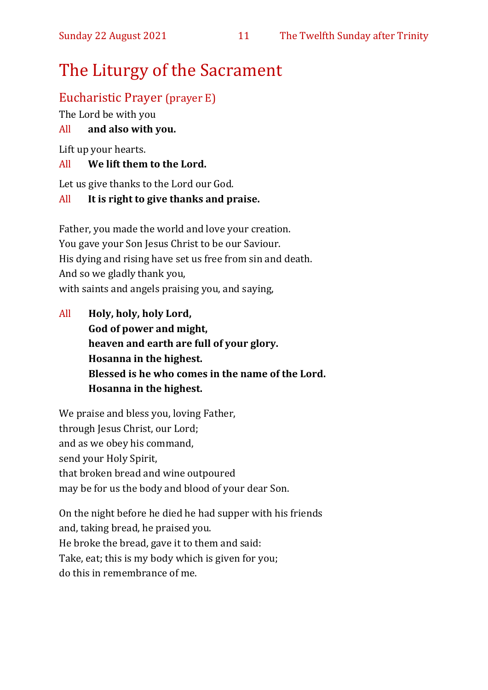# The Liturgy of the Sacrament

## Eucharistic Prayer (prayer E)

The Lord be with you

#### All **and also with you.**

Lift up your hearts.

#### All **We lift them to the Lord.**

Let us give thanks to the Lord our God.

#### All **It is right to give thanks and praise.**

Father, you made the world and love your creation. You gave your Son Jesus Christ to be our Saviour. His dying and rising have set us free from sin and death. And so we gladly thank you, with saints and angels praising you, and saying,

All **Holy, holy, holy Lord, God of power and might, heaven and earth are full of your glory. Hosanna in the highest. Blessed is he who comes in the name of the Lord. Hosanna in the highest.**

We praise and bless you, loving Father, through Jesus Christ, our Lord; and as we obey his command, send your Holy Spirit, that broken bread and wine outpoured may be for us the body and blood of your dear Son.

On the night before he died he had supper with his friends and, taking bread, he praised you. He broke the bread, gave it to them and said: Take, eat; this is my body which is given for you; do this in remembrance of me.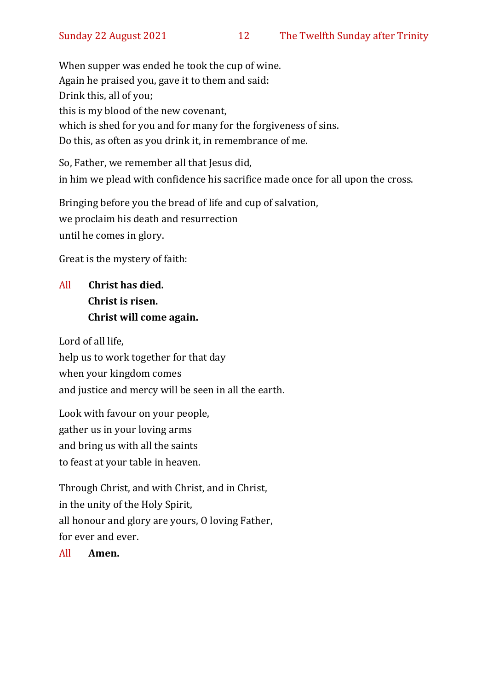When supper was ended he took the cup of wine. Again he praised you, gave it to them and said: Drink this, all of you; this is my blood of the new covenant, which is shed for you and for many for the forgiveness of sins. Do this, as often as you drink it, in remembrance of me.

So, Father, we remember all that Jesus did, in him we plead with confidence his sacrifice made once for all upon the cross.

Bringing before you the bread of life and cup of salvation, we proclaim his death and resurrection until he comes in glory.

Great is the mystery of faith:

# All **Christ has died. Christ is risen. Christ will come again.**

Lord of all life, help us to work together for that day when your kingdom comes and justice and mercy will be seen in all the earth.

Look with favour on your people, gather us in your loving arms and bring us with all the saints to feast at your table in heaven.

Through Christ, and with Christ, and in Christ, in the unity of the Holy Spirit, all honour and glory are yours, O loving Father, for ever and ever.

All **Amen.**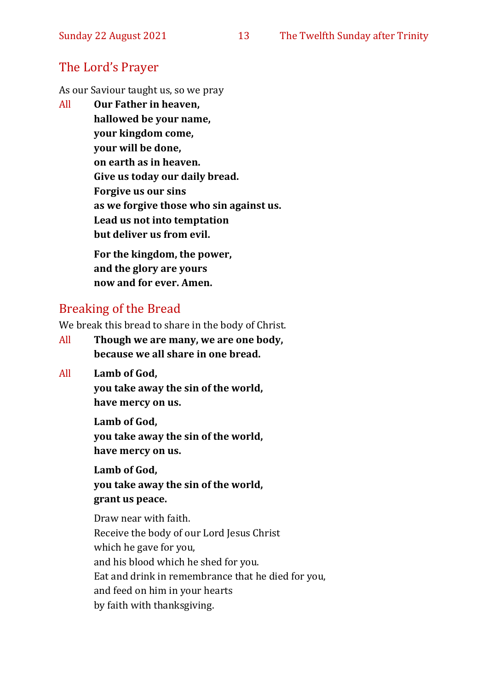## The Lord's Prayer

As our Saviour taught us, so we pray

All **Our Father in heaven, hallowed be your name, your kingdom come, your will be done, on earth as in heaven. Give us today our daily bread. Forgive us our sins as we forgive those who sin against us. Lead us not into temptation but deliver us from evil. For the kingdom, the power,** 

**and the glory are yours now and for ever. Amen.**

# Breaking of the Bread

We break this bread to share in the body of Christ.

- All **Though we are many, we are one body, because we all share in one bread.**
- All **Lamb of God,**

**you take away the sin of the world, have mercy on us.**

**Lamb of God, you take away the sin of the world, have mercy on us.**

**Lamb of God, you take away the sin of the world, grant us peace.**

Draw near with faith. Receive the body of our Lord Jesus Christ which he gave for you, and his blood which he shed for you. Eat and drink in remembrance that he died for you, and feed on him in your hearts by faith with thanksgiving.